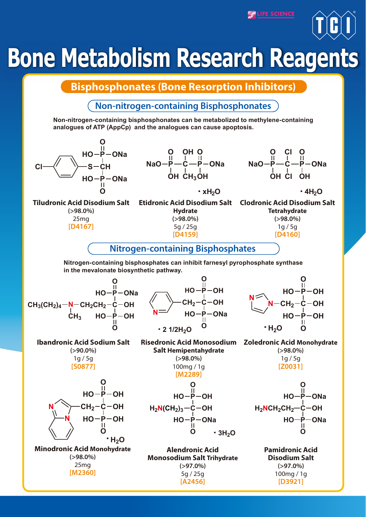**PLIFE SCIENCE** 



## **Bone Metabolism Research Reagents**

**Bisphosphonates (Bone Resorption Inhibitors)**

**Non-nitrogen-containing Bisphosphonates**

**Non-nitrogen-containing bisphosphonates can be metabolized to methylene-containing analogues of ATP (AppCp) and the analogues can cause apoptosis.**